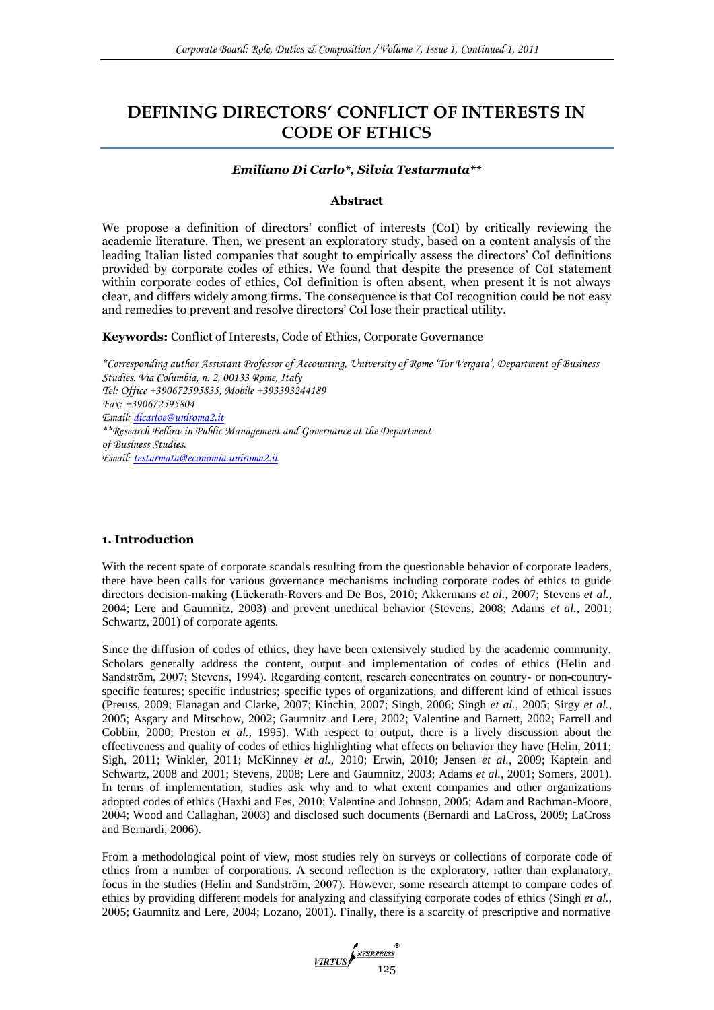# **DEFINING DIRECTORS' CONFLICT OF INTERESTS IN CODE OF ETHICS**

## *Emiliano Di Carlo\*, Silvia Testarmata\*\**

#### **Abstract**

We propose a definition of directors' conflict of interests (CoI) by critically reviewing the academic literature. Then, we present an exploratory study, based on a content analysis of the leading Italian listed companies that sought to empirically assess the directors' CoI definitions provided by corporate codes of ethics. We found that despite the presence of CoI statement within corporate codes of ethics, CoI definition is often absent, when present it is not always clear, and differs widely among firms. The consequence is that CoI recognition could be not easy and remedies to prevent and resolve directors' CoI lose their practical utility.

**Keywords:** Conflict of Interests, Code of Ethics, Corporate Governance

*\*Corresponding author Assistant Professor of Accounting, University of Rome 'Tor Vergata', Department of Business Studies. Via Columbia, n. 2, 00133 Rome, Italy Tel: Office +390672595835, Mobile +393393244189 Fax: +390672595804 Email: [dicarloe@uniroma2.it](mailto:dicarloe@uniroma2.it) \*\*Research Fellow in Public Management and Governance at the Department of Business Studies. Email: [testarmata@economia.uniroma2.it](mailto:testarmata@economia.uniroma2.it)*

## **1. Introduction**

With the recent spate of corporate scandals resulting from the questionable behavior of corporate leaders, there have been calls for various governance mechanisms including corporate codes of ethics to guide directors decision-making (Lückerath-Rovers and De Bos, 2010; Akkermans *et al.*, 2007; Stevens *et al.*, 2004; Lere and Gaumnitz, 2003) and prevent unethical behavior (Stevens, 2008; Adams *et al.*, 2001; Schwartz, 2001) of corporate agents.

Since the diffusion of codes of ethics, they have been extensively studied by the academic community. Scholars generally address the content, output and implementation of codes of ethics (Helin and Sandström, 2007; Stevens, 1994). Regarding content, research concentrates on country- or non-countryspecific features; specific industries; specific types of organizations, and different kind of ethical issues (Preuss, 2009; Flanagan and Clarke, 2007; Kinchin, 2007; Singh, 2006; Singh *et al.*, 2005; Sirgy *et al.*, 2005; Asgary and Mitschow, 2002; Gaumnitz and Lere, 2002; Valentine and Barnett, 2002; Farrell and Cobbin, 2000; Preston *et al.*, 1995). With respect to output, there is a lively discussion about the effectiveness and quality of codes of ethics highlighting what effects on behavior they have (Helin, 2011; Sigh, 2011; Winkler, 2011; McKinney *et al.*, 2010; Erwin, 2010; Jensen *et al.*, 2009; Kaptein and Schwartz, 2008 and 2001; Stevens, 2008; Lere and Gaumnitz, 2003; Adams *et al.*, 2001; Somers, 2001). In terms of implementation, studies ask why and to what extent companies and other organizations adopted codes of ethics (Haxhi and Ees, 2010; Valentine and Johnson, 2005; Adam and Rachman-Moore, 2004; Wood and Callaghan, 2003) and disclosed such documents (Bernardi and LaCross, 2009; LaCross and Bernardi, 2006).

From a methodological point of view, most studies rely on surveys or collections of corporate code of ethics from a number of corporations. A second reflection is the exploratory, rather than explanatory, focus in the studies (Helin and Sandström, 2007). However, some research attempt to compare codes of ethics by providing different models for analyzing and classifying corporate codes of ethics (Singh *et al.*, 2005; Gaumnitz and Lere, 2004; Lozano, 2001). Finally, there is a scarcity of prescriptive and normative

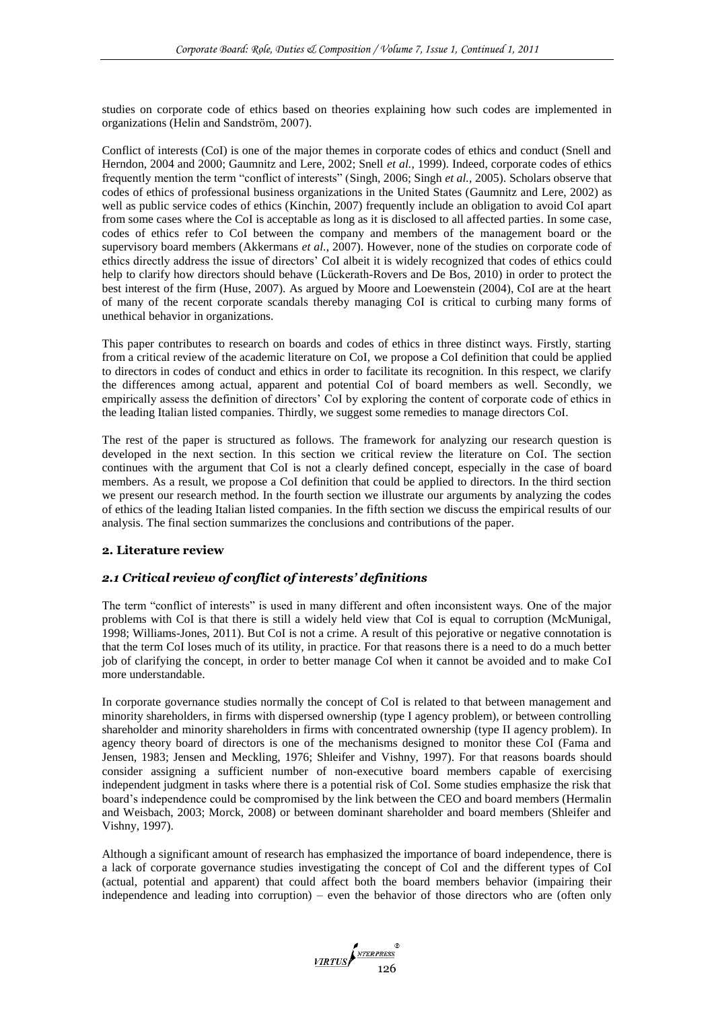studies on corporate code of ethics based on theories explaining how such codes are implemented in organizations (Helin and Sandström, 2007).

Conflict of interests (CoI) is one of the major themes in corporate codes of ethics and conduct (Snell and Herndon, 2004 and 2000; Gaumnitz and Lere, 2002; Snell *et al.*, 1999). Indeed, corporate codes of ethics frequently mention the term "conflict of interests" (Singh, 2006; Singh *et al.*, 2005). Scholars observe that codes of ethics of professional business organizations in the United States (Gaumnitz and Lere, 2002) as well as public service codes of ethics (Kinchin, 2007) frequently include an obligation to avoid CoI apart from some cases where the CoI is acceptable as long as it is disclosed to all affected parties. In some case, codes of ethics refer to CoI between the company and members of the management board or the supervisory board members (Akkermans *et al.*, 2007). However, none of the studies on corporate code of ethics directly address the issue of directors' CoI albeit it is widely recognized that codes of ethics could help to clarify how directors should behave (Lückerath-Rovers and De Bos, 2010) in order to protect the best interest of the firm (Huse, 2007). As argued by Moore and Loewenstein (2004), CoI are at the heart of many of the recent corporate scandals thereby managing CoI is critical to curbing many forms of unethical behavior in organizations.

This paper contributes to research on boards and codes of ethics in three distinct ways. Firstly, starting from a critical review of the academic literature on CoI, we propose a CoI definition that could be applied to directors in codes of conduct and ethics in order to facilitate its recognition. In this respect, we clarify the differences among actual, apparent and potential CoI of board members as well. Secondly, we empirically assess the definition of directors' CoI by exploring the content of corporate code of ethics in the leading Italian listed companies. Thirdly, we suggest some remedies to manage directors CoI.

The rest of the paper is structured as follows. The framework for analyzing our research question is developed in the next section. In this section we critical review the literature on CoI. The section continues with the argument that CoI is not a clearly defined concept, especially in the case of board members. As a result, we propose a CoI definition that could be applied to directors. In the third section we present our research method. In the fourth section we illustrate our arguments by analyzing the codes of ethics of the leading Italian listed companies. In the fifth section we discuss the empirical results of our analysis. The final section summarizes the conclusions and contributions of the paper.

# **2. Literature review**

# *2.1 Critical review of conflict of interests' definitions*

The term "conflict of interests" is used in many different and often inconsistent ways. One of the major problems with CoI is that there is still a widely held view that CoI is equal to corruption (McMunigal, 1998; Williams-Jones, 2011). But CoI is not a crime. A result of this pejorative or negative connotation is that the term CoI loses much of its utility, in practice. For that reasons there is a need to do a much better job of clarifying the concept, in order to better manage CoI when it cannot be avoided and to make CoI more understandable.

In corporate governance studies normally the concept of CoI is related to that between management and minority shareholders, in firms with dispersed ownership (type I agency problem), or between controlling shareholder and minority shareholders in firms with concentrated ownership (type II agency problem). In agency theory board of directors is one of the mechanisms designed to monitor these CoI (Fama and Jensen, 1983; Jensen and Meckling, 1976; Shleifer and Vishny, 1997). For that reasons boards should consider assigning a sufficient number of non-executive board members capable of exercising independent judgment in tasks where there is a potential risk of CoI. Some studies emphasize the risk that board's independence could be compromised by the link between the CEO and board members (Hermalin and Weisbach, 2003; Morck, 2008) or between dominant shareholder and board members (Shleifer and Vishny, 1997).

Although a significant amount of research has emphasized the importance of board independence, there is a lack of corporate governance studies investigating the concept of CoI and the different types of CoI (actual, potential and apparent) that could affect both the board members behavior (impairing their independence and leading into corruption) – even the behavior of those directors who are (often only

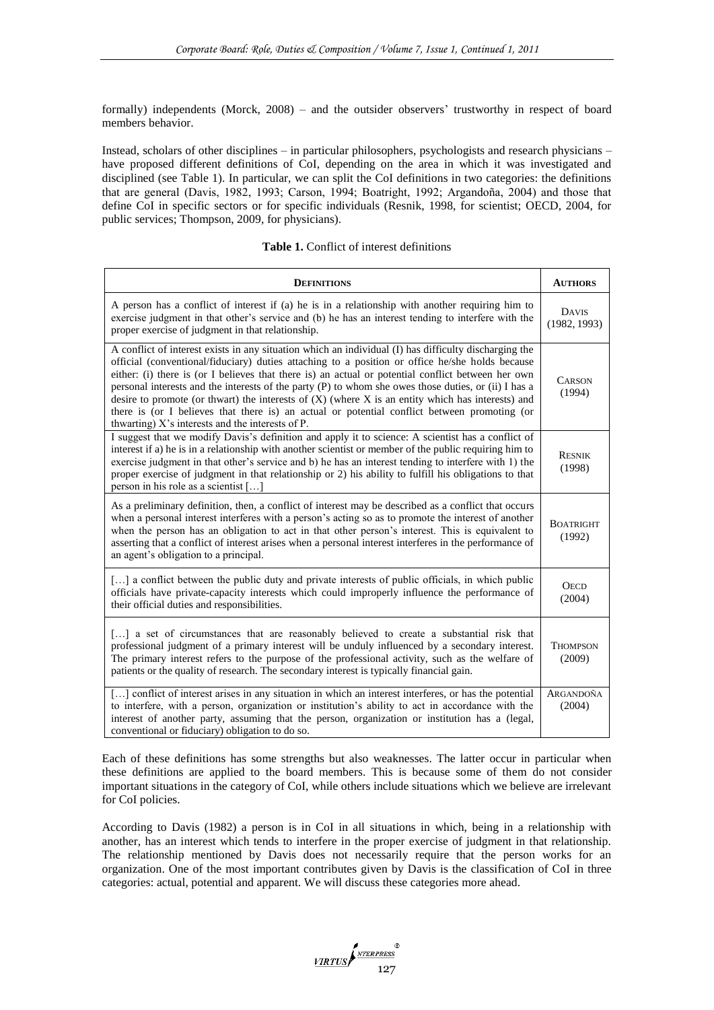formally) independents (Morck, 2008) – and the outsider observers' trustworthy in respect of board members behavior.

Instead, scholars of other disciplines – in particular philosophers, psychologists and research physicians – have proposed different definitions of CoI, depending on the area in which it was investigated and disciplined (see Table 1). In particular, we can split the CoI definitions in two categories: the definitions that are general (Davis, 1982, 1993; Carson, 1994; Boatright, 1992; Argandoña, 2004) and those that define CoI in specific sectors or for specific individuals (Resnik, 1998, for scientist; OECD, 2004, for public services; Thompson, 2009, for physicians).

|  |  |  | <b>Table 1.</b> Conflict of interest definitions |
|--|--|--|--------------------------------------------------|
|--|--|--|--------------------------------------------------|

| <b>DEFINITIONS</b>                                                                                                                                                                                                                                                                                                                                                                                                                                                                                                                                                                                                                                                                | <b>AUTHORS</b>               |
|-----------------------------------------------------------------------------------------------------------------------------------------------------------------------------------------------------------------------------------------------------------------------------------------------------------------------------------------------------------------------------------------------------------------------------------------------------------------------------------------------------------------------------------------------------------------------------------------------------------------------------------------------------------------------------------|------------------------------|
| A person has a conflict of interest if (a) he is in a relationship with another requiring him to<br>exercise judgment in that other's service and (b) he has an interest tending to interfere with the<br>proper exercise of judgment in that relationship.                                                                                                                                                                                                                                                                                                                                                                                                                       | <b>DAVIS</b><br>(1982, 1993) |
| A conflict of interest exists in any situation which an individual (I) has difficulty discharging the<br>official (conventional/fiduciary) duties attaching to a position or office he/she holds because<br>either: (i) there is (or I believes that there is) an actual or potential conflict between her own<br>personal interests and the interests of the party (P) to whom she owes those duties, or (ii) I has a<br>desire to promote (or thwart) the interests of $(X)$ (where X is an entity which has interests) and<br>there is (or I believes that there is) an actual or potential conflict between promoting (or<br>thwarting) X's interests and the interests of P. | <b>CARSON</b><br>(1994)      |
| I suggest that we modify Davis's definition and apply it to science: A scientist has a conflict of<br>interest if a) he is in a relationship with another scientist or member of the public requiring him to<br>exercise judgment in that other's service and b) he has an interest tending to interfere with 1) the<br>proper exercise of judgment in that relationship or 2) his ability to fulfill his obligations to that<br>person in his role as a scientist []                                                                                                                                                                                                             | <b>RESNIK</b><br>(1998)      |
| As a preliminary definition, then, a conflict of interest may be described as a conflict that occurs<br>when a personal interest interferes with a person's acting so as to promote the interest of another<br>when the person has an obligation to act in that other person's interest. This is equivalent to<br>asserting that a conflict of interest arises when a personal interest interferes in the performance of<br>an agent's obligation to a principal.                                                                                                                                                                                                                 | <b>BOATRIGHT</b><br>(1992)   |
| [] a conflict between the public duty and private interests of public officials, in which public<br>officials have private-capacity interests which could improperly influence the performance of<br>their official duties and responsibilities.                                                                                                                                                                                                                                                                                                                                                                                                                                  | <b>OECD</b><br>(2004)        |
| [] a set of circumstances that are reasonably believed to create a substantial risk that<br>professional judgment of a primary interest will be unduly influenced by a secondary interest.<br>The primary interest refers to the purpose of the professional activity, such as the welfare of<br>patients or the quality of research. The secondary interest is typically financial gain.                                                                                                                                                                                                                                                                                         | <b>THOMPSON</b><br>(2009)    |
| [] conflict of interest arises in any situation in which an interest interferes, or has the potential<br>to interfere, with a person, organization or institution's ability to act in accordance with the<br>interest of another party, assuming that the person, organization or institution has a (legal,<br>conventional or fiduciary) obligation to do so.                                                                                                                                                                                                                                                                                                                    | ARGANDOÑA<br>(2004)          |

Each of these definitions has some strengths but also weaknesses. The latter occur in particular when these definitions are applied to the board members. This is because some of them do not consider important situations in the category of CoI, while others include situations which we believe are irrelevant for CoI policies.

According to Davis (1982) a person is in CoI in all situations in which, being in a relationship with another, has an interest which tends to interfere in the proper exercise of judgment in that relationship. The relationship mentioned by Davis does not necessarily require that the person works for an organization. One of the most important contributes given by Davis is the classification of CoI in three categories: actual, potential and apparent. We will discuss these categories more ahead.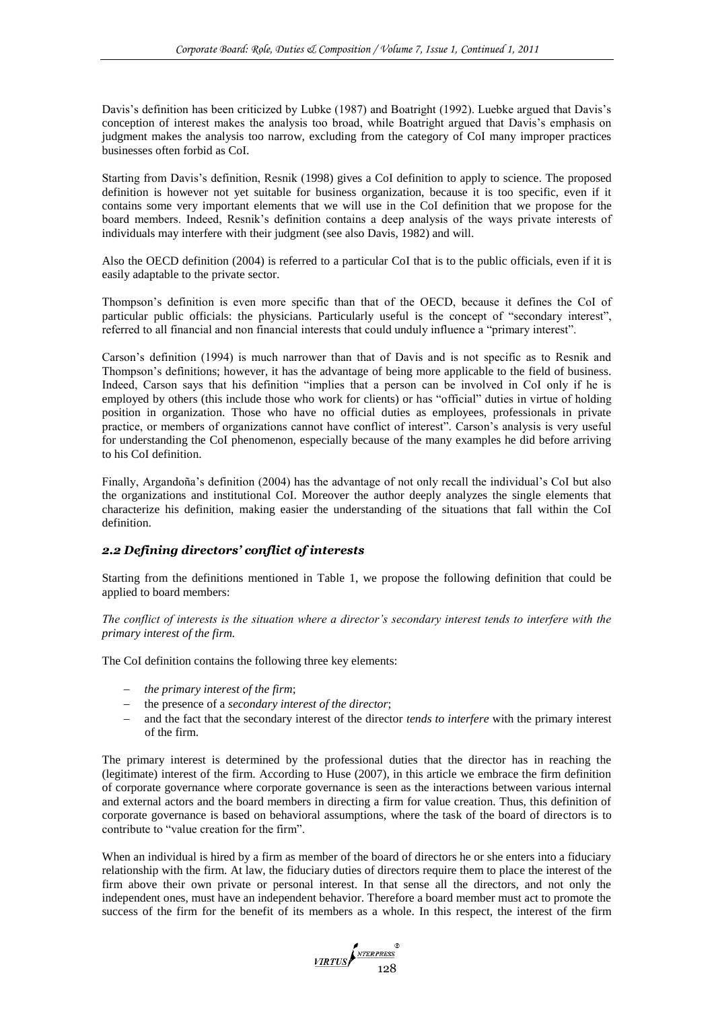Davis's definition has been criticized by Lubke (1987) and Boatright (1992). Luebke argued that Davis's conception of interest makes the analysis too broad, while Boatright argued that Davis's emphasis on judgment makes the analysis too narrow, excluding from the category of CoI many improper practices businesses often forbid as CoI.

Starting from Davis's definition, Resnik (1998) gives a CoI definition to apply to science. The proposed definition is however not yet suitable for business organization, because it is too specific, even if it contains some very important elements that we will use in the CoI definition that we propose for the board members. Indeed, Resnik's definition contains a deep analysis of the ways private interests of individuals may interfere with their judgment (see also Davis, 1982) and will.

Also the OECD definition (2004) is referred to a particular CoI that is to the public officials, even if it is easily adaptable to the private sector.

Thompson's definition is even more specific than that of the OECD, because it defines the CoI of particular public officials: the physicians. Particularly useful is the concept of "secondary interest", referred to all financial and non financial interests that could unduly influence a "primary interest".

Carson's definition (1994) is much narrower than that of Davis and is not specific as to Resnik and Thompson's definitions; however, it has the advantage of being more applicable to the field of business. Indeed, Carson says that his definition "implies that a person can be involved in CoI only if he is employed by others (this include those who work for clients) or has "official" duties in virtue of holding position in organization. Those who have no official duties as employees, professionals in private practice, or members of organizations cannot have conflict of interest". Carson's analysis is very useful for understanding the CoI phenomenon, especially because of the many examples he did before arriving to his CoI definition.

Finally, Argandoña's definition (2004) has the advantage of not only recall the individual's CoI but also the organizations and institutional CoI. Moreover the author deeply analyzes the single elements that characterize his definition, making easier the understanding of the situations that fall within the CoI definition.

## *2.2 Defining directors' conflict of interests*

Starting from the definitions mentioned in Table 1, we propose the following definition that could be applied to board members:

*The conflict of interests is the situation where a director's secondary interest tends to interfere with the primary interest of the firm.*

The CoI definition contains the following three key elements:

- *the primary interest of the firm*;
- the presence of a *secondary interest of the director*;
- and the fact that the secondary interest of the director *tends to interfere* with the primary interest of the firm.

The primary interest is determined by the professional duties that the director has in reaching the (legitimate) interest of the firm. According to Huse (2007), in this article we embrace the firm definition of corporate governance where corporate governance is seen as the interactions between various internal and external actors and the board members in directing a firm for value creation. Thus, this definition of corporate governance is based on behavioral assumptions, where the task of the board of directors is to contribute to "value creation for the firm".

When an individual is hired by a firm as member of the board of directors he or she enters into a fiduciary relationship with the firm. At law, the fiduciary duties of directors require them to place the interest of the firm above their own private or personal interest. In that sense all the directors, and not only the independent ones, must have an independent behavior. Therefore a board member must act to promote the success of the firm for the benefit of its members as a whole. In this respect, the interest of the firm

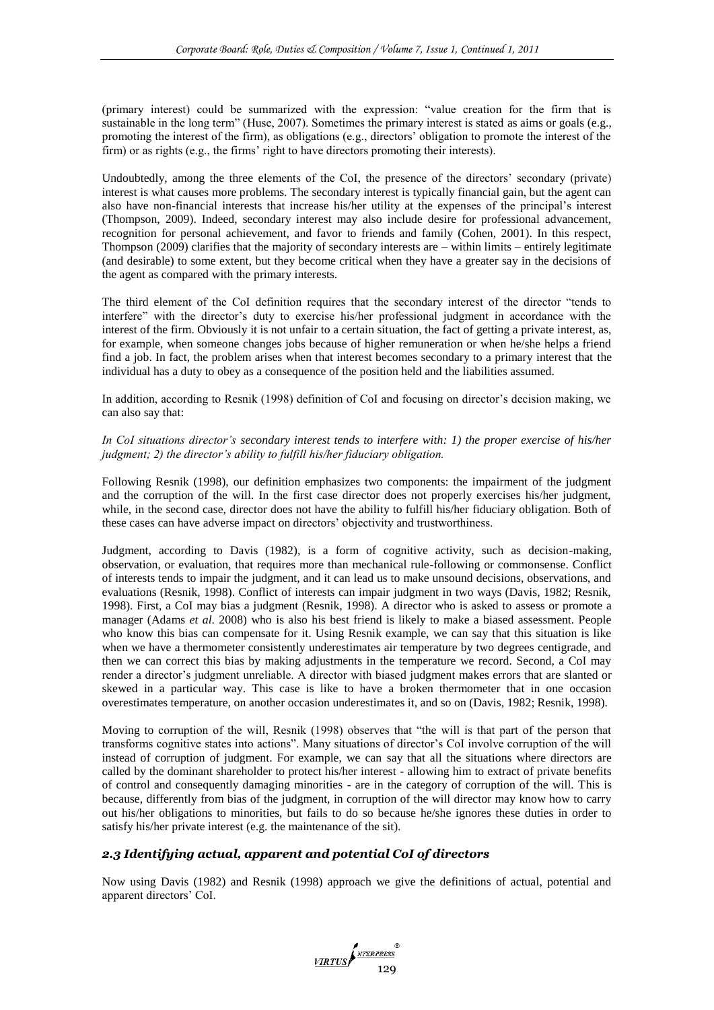(primary interest) could be summarized with the expression: "value creation for the firm that is sustainable in the long term" (Huse, 2007). Sometimes the primary interest is stated as aims or goals (e.g., promoting the interest of the firm), as obligations (e.g., directors' obligation to promote the interest of the firm) or as rights (e.g., the firms' right to have directors promoting their interests).

Undoubtedly, among the three elements of the CoI, the presence of the directors' secondary (private) interest is what causes more problems. The secondary interest is typically financial gain, but the agent can also have non-financial interests that increase his/her utility at the expenses of the principal's interest (Thompson, 2009). Indeed, secondary interest may also include desire for professional advancement, recognition for personal achievement, and favor to friends and family (Cohen, 2001). In this respect, Thompson (2009) clarifies that the majority of secondary interests are – within limits – entirely legitimate (and desirable) to some extent, but they become critical when they have a greater say in the decisions of the agent as compared with the primary interests.

The third element of the CoI definition requires that the secondary interest of the director "tends to interfere" with the director's duty to exercise his/her professional judgment in accordance with the interest of the firm. Obviously it is not unfair to a certain situation, the fact of getting a private interest, as, for example, when someone changes jobs because of higher remuneration or when he/she helps a friend find a job. In fact, the problem arises when that interest becomes secondary to a primary interest that the individual has a duty to obey as a consequence of the position held and the liabilities assumed.

In addition, according to Resnik (1998) definition of CoI and focusing on director's decision making, we can also say that:

#### *In CoI situations director's secondary interest tends to interfere with: 1) the proper exercise of his/her judgment; 2) the director's ability to fulfill his/her fiduciary obligation.*

Following Resnik (1998), our definition emphasizes two components: the impairment of the judgment and the corruption of the will. In the first case director does not properly exercises his/her judgment, while, in the second case, director does not have the ability to fulfill his/her fiduciary obligation. Both of these cases can have adverse impact on directors' objectivity and trustworthiness.

Judgment, according to Davis (1982), is a form of cognitive activity, such as decision-making, observation, or evaluation, that requires more than mechanical rule-following or commonsense. Conflict of interests tends to impair the judgment, and it can lead us to make unsound decisions, observations, and evaluations (Resnik, 1998). Conflict of interests can impair judgment in two ways (Davis, 1982; Resnik, 1998). First, a CoI may bias a judgment (Resnik, 1998). A director who is asked to assess or promote a manager (Adams *et al*. 2008) who is also his best friend is likely to make a biased assessment. People who know this bias can compensate for it. Using Resnik example, we can say that this situation is like when we have a thermometer consistently underestimates air temperature by two degrees centigrade, and then we can correct this bias by making adjustments in the temperature we record. Second, a CoI may render a director's judgment unreliable. A director with biased judgment makes errors that are slanted or skewed in a particular way. This case is like to have a broken thermometer that in one occasion overestimates temperature, on another occasion underestimates it, and so on (Davis, 1982; Resnik, 1998).

Moving to corruption of the will, Resnik (1998) observes that "the will is that part of the person that transforms cognitive states into actions‖. Many situations of director's CoI involve corruption of the will instead of corruption of judgment. For example, we can say that all the situations where directors are called by the dominant shareholder to protect his/her interest - allowing him to extract of private benefits of control and consequently damaging minorities - are in the category of corruption of the will. This is because, differently from bias of the judgment, in corruption of the will director may know how to carry out his/her obligations to minorities, but fails to do so because he/she ignores these duties in order to satisfy his/her private interest (e.g. the maintenance of the sit).

# *2.3 Identifying actual, apparent and potential CoI of directors*

Now using Davis (1982) and Resnik (1998) approach we give the definitions of actual, potential and apparent directors' CoI.

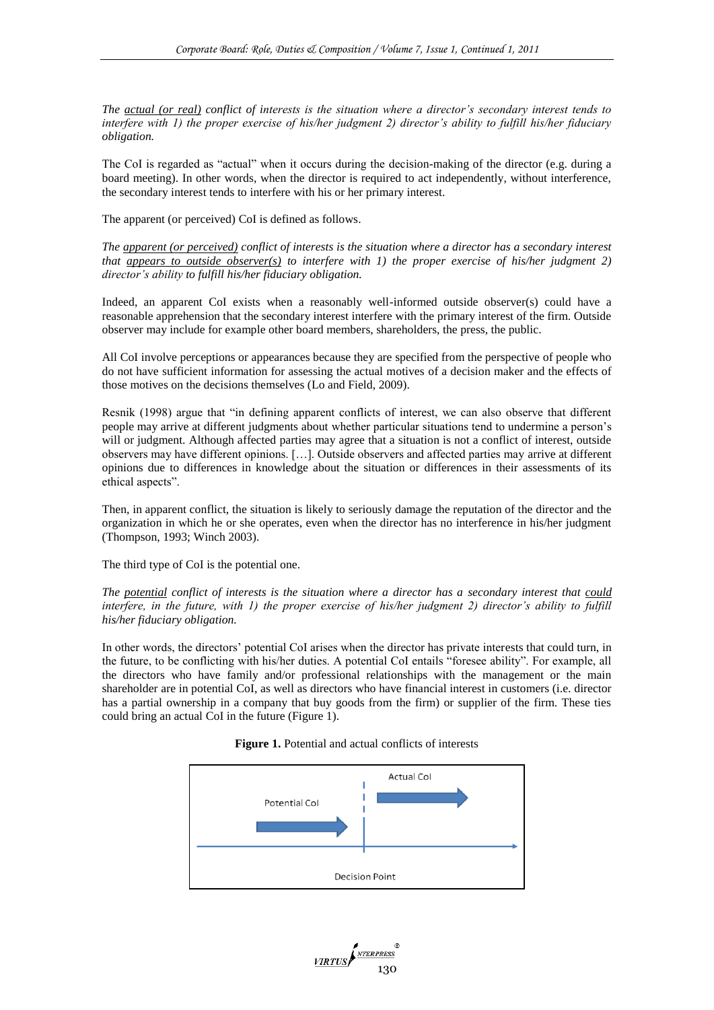*The actual (or real) conflict of interests is the situation where a director's secondary interest tends to interfere with 1) the proper exercise of his/her judgment 2) director's ability to fulfill his/her fiduciary obligation.*

The CoI is regarded as "actual" when it occurs during the decision-making of the director (e.g. during a board meeting). In other words, when the director is required to act independently, without interference, the secondary interest tends to interfere with his or her primary interest.

The apparent (or perceived) CoI is defined as follows.

*The apparent (or perceived) conflict of interests is the situation where a director has a secondary interest that appears to outside observer(s) to interfere with 1) the proper exercise of his/her judgment 2) director's ability to fulfill his/her fiduciary obligation.*

Indeed, an apparent CoI exists when a reasonably well-informed outside observer(s) could have a reasonable apprehension that the secondary interest interfere with the primary interest of the firm. Outside observer may include for example other board members, shareholders, the press, the public.

All CoI involve perceptions or appearances because they are specified from the perspective of people who do not have sufficient information for assessing the actual motives of a decision maker and the effects of those motives on the decisions themselves (Lo and Field, 2009).

Resnik (1998) argue that "in defining apparent conflicts of interest, we can also observe that different people may arrive at different judgments about whether particular situations tend to undermine a person's will or judgment. Although affected parties may agree that a situation is not a conflict of interest, outside observers may have different opinions. […]. Outside observers and affected parties may arrive at different opinions due to differences in knowledge about the situation or differences in their assessments of its ethical aspects".

Then, in apparent conflict, the situation is likely to seriously damage the reputation of the director and the organization in which he or she operates, even when the director has no interference in his/her judgment (Thompson, 1993; Winch 2003).

The third type of CoI is the potential one.

*The potential conflict of interests is the situation where a director has a secondary interest that could interfere, in the future, with 1) the proper exercise of his/her judgment 2) director's ability to fulfill his/her fiduciary obligation.*

In other words, the directors' potential CoI arises when the director has private interests that could turn, in the future, to be conflicting with his/her duties. A potential CoI entails "foresee ability". For example, all the directors who have family and/or professional relationships with the management or the main shareholder are in potential CoI, as well as directors who have financial interest in customers (i.e. director has a partial ownership in a company that buy goods from the firm) or supplier of the firm. These ties could bring an actual CoI in the future (Figure 1).



VIRTUS

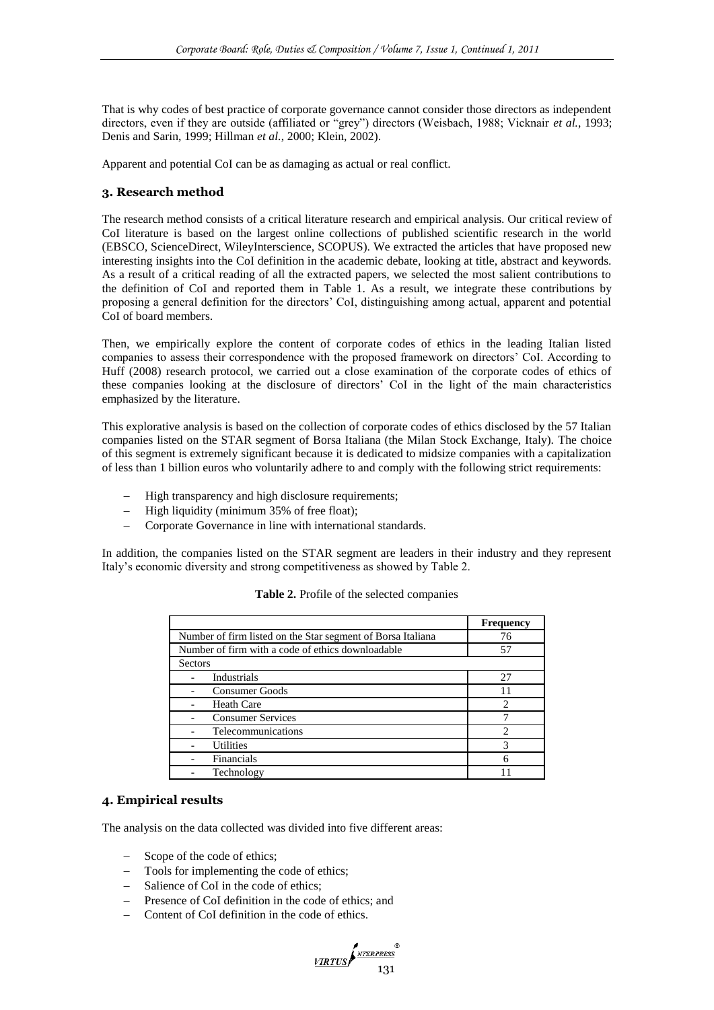That is why codes of best practice of corporate governance cannot consider those directors as independent directors, even if they are outside (affiliated or "grey") directors (Weisbach, 1988; Vicknair et al., 1993; Denis and Sarin, 1999; Hillman *et al.*, 2000; Klein, 2002).

Apparent and potential CoI can be as damaging as actual or real conflict.

## **3. Research method**

The research method consists of a critical literature research and empirical analysis. Our critical review of CoI literature is based on the largest online collections of published scientific research in the world (EBSCO, ScienceDirect, WileyInterscience, SCOPUS). We extracted the articles that have proposed new interesting insights into the CoI definition in the academic debate, looking at title, abstract and keywords. As a result of a critical reading of all the extracted papers, we selected the most salient contributions to the definition of CoI and reported them in Table 1. As a result, we integrate these contributions by proposing a general definition for the directors' CoI, distinguishing among actual, apparent and potential CoI of board members.

Then, we empirically explore the content of corporate codes of ethics in the leading Italian listed companies to assess their correspondence with the proposed framework on directors' CoI. According to Huff (2008) research protocol, we carried out a close examination of the corporate codes of ethics of these companies looking at the disclosure of directors' CoI in the light of the main characteristics emphasized by the literature.

This explorative analysis is based on the collection of corporate codes of ethics disclosed by the 57 Italian companies listed on the STAR segment of Borsa Italiana (the Milan Stock Exchange, Italy). The choice of this segment is extremely significant because it is dedicated to midsize companies with a capitalization of less than 1 billion euros who voluntarily adhere to and comply with the following strict requirements:

- High transparency and high disclosure requirements;
- High liquidity (minimum 35% of free float);
- Corporate Governance in line with international standards.

In addition, the companies listed on the STAR segment are leaders in their industry and they represent Italy's economic diversity and strong competitiveness as showed by Table 2.

|                                                             | <b>Frequency</b> |
|-------------------------------------------------------------|------------------|
| Number of firm listed on the Star segment of Borsa Italiana | 76               |
| Number of firm with a code of ethics downloadable<br>57     |                  |
| Sectors                                                     |                  |
| Industrials                                                 | 27               |
| Consumer Goods                                              | 11               |
| <b>Heath Care</b>                                           | $\mathfrak{D}$   |
| <b>Consumer Services</b>                                    |                  |
| Telecommunications                                          | ∍                |
| <b>Utilities</b>                                            | 3                |
| Financials                                                  | 6                |
| Technology                                                  |                  |

#### **Table 2.** Profile of the selected companies

#### **4. Empirical results**

The analysis on the data collected was divided into five different areas:

- Scope of the code of ethics;
- Tools for implementing the code of ethics;
- Salience of CoI in the code of ethics;
- Presence of CoI definition in the code of ethics; and
- Content of CoI definition in the code of ethics.

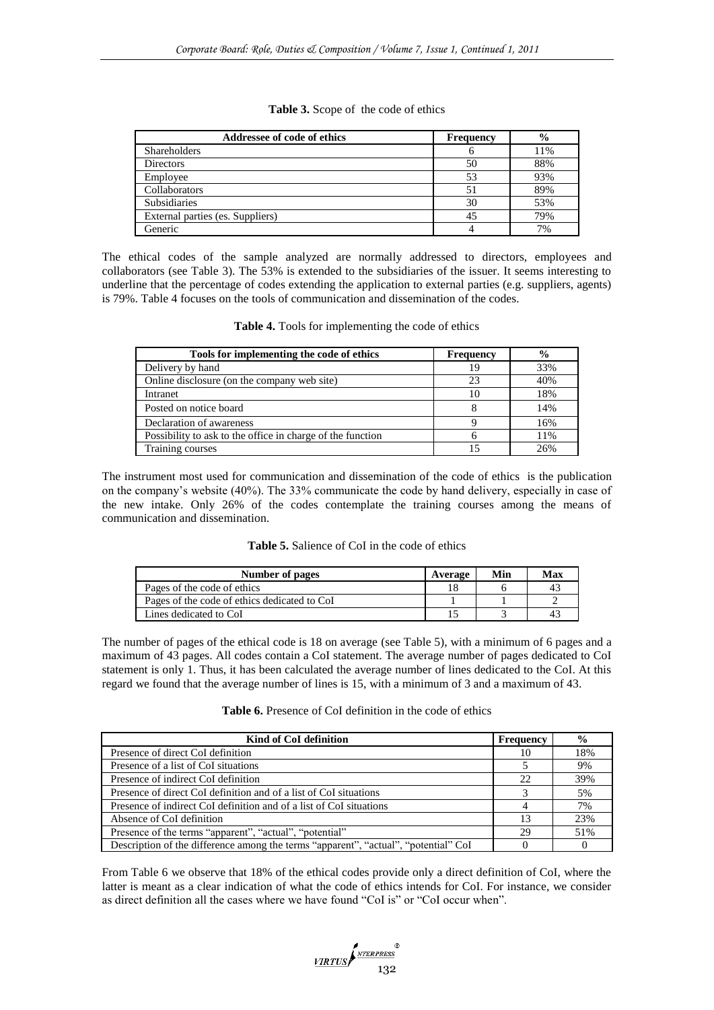| Addressee of code of ethics      | <b>Frequency</b> | $\frac{6}{6}$ |
|----------------------------------|------------------|---------------|
| <b>Shareholders</b>              |                  | 11%           |
| <b>Directors</b>                 | 50               | 88%           |
| Employee                         | 53               | 93%           |
| Collaborators                    | 51               | 89%           |
| <b>Subsidiaries</b>              | 30               | 53%           |
| External parties (es. Suppliers) | 45               | 79%           |
| Generic                          |                  | 7%            |

|  |  | Table 3. Scope of the code of ethics |
|--|--|--------------------------------------|
|--|--|--------------------------------------|

The ethical codes of the sample analyzed are normally addressed to directors, employees and collaborators (see Table 3). The 53% is extended to the subsidiaries of the issuer. It seems interesting to underline that the percentage of codes extending the application to external parties (e.g. suppliers, agents) is 79%. Table 4 focuses on the tools of communication and dissemination of the codes.

|  |  | Table 4. Tools for implementing the code of ethics |  |  |
|--|--|----------------------------------------------------|--|--|
|  |  |                                                    |  |  |

| Tools for implementing the code of ethics                  | <b>Frequency</b> | $\frac{6}{9}$ |
|------------------------------------------------------------|------------------|---------------|
| Delivery by hand                                           | 19               | 33%           |
| Online disclosure (on the company web site)                | 23               | 40%           |
| Intranet                                                   | 10               | 18%           |
| Posted on notice board                                     |                  | 14%           |
| Declaration of awareness                                   |                  | 16%           |
| Possibility to ask to the office in charge of the function |                  | 11%           |
| Training courses                                           | 15               | 2.6%          |

The instrument most used for communication and dissemination of the code of ethics is the publication on the company's website (40%). The 33% communicate the code by hand delivery, especially in case of the new intake. Only 26% of the codes contemplate the training courses among the means of communication and dissemination.

| <b>Table 5.</b> Salience of CoI in the code of ethics |  |  |
|-------------------------------------------------------|--|--|
|-------------------------------------------------------|--|--|

| Number of pages                              | Average | Min | Max      |
|----------------------------------------------|---------|-----|----------|
| Pages of the code of ethics                  |         |     | 41       |
| Pages of the code of ethics dedicated to CoI |         |     |          |
| Lines dedicated to CoI                       |         |     | $\Delta$ |

The number of pages of the ethical code is 18 on average (see Table 5), with a minimum of 6 pages and a maximum of 43 pages. All codes contain a CoI statement. The average number of pages dedicated to CoI statement is only 1. Thus, it has been calculated the average number of lines dedicated to the CoI. At this regard we found that the average number of lines is 15, with a minimum of 3 and a maximum of 43.

| <b>Table 6.</b> Presence of CoI definition in the code of ethics |  |  |  |
|------------------------------------------------------------------|--|--|--|
|------------------------------------------------------------------|--|--|--|

| Kind of CoI definition                                                              | Frequency | $\frac{6}{9}$ |
|-------------------------------------------------------------------------------------|-----------|---------------|
| Presence of direct CoI definition                                                   | 10        | 18%           |
| Presence of a list of CoI situations                                                |           | 9%            |
| Presence of indirect CoI definition                                                 | 22        | 39%           |
| Presence of direct CoI definition and of a list of CoI situations                   |           | 5%            |
| Presence of indirect CoI definition and of a list of CoI situations                 |           | 7%            |
| Absence of CoI definition                                                           | 13        | 23%           |
| Presence of the terms "apparent", "actual", "potential"                             | 29        | 51%           |
| Description of the difference among the terms "apparent", "actual", "potential" CoI |           |               |

From Table 6 we observe that 18% of the ethical codes provide only a direct definition of CoI, where the latter is meant as a clear indication of what the code of ethics intends for CoI. For instance, we consider as direct definition all the cases where we have found "CoI is" or "CoI occur when".

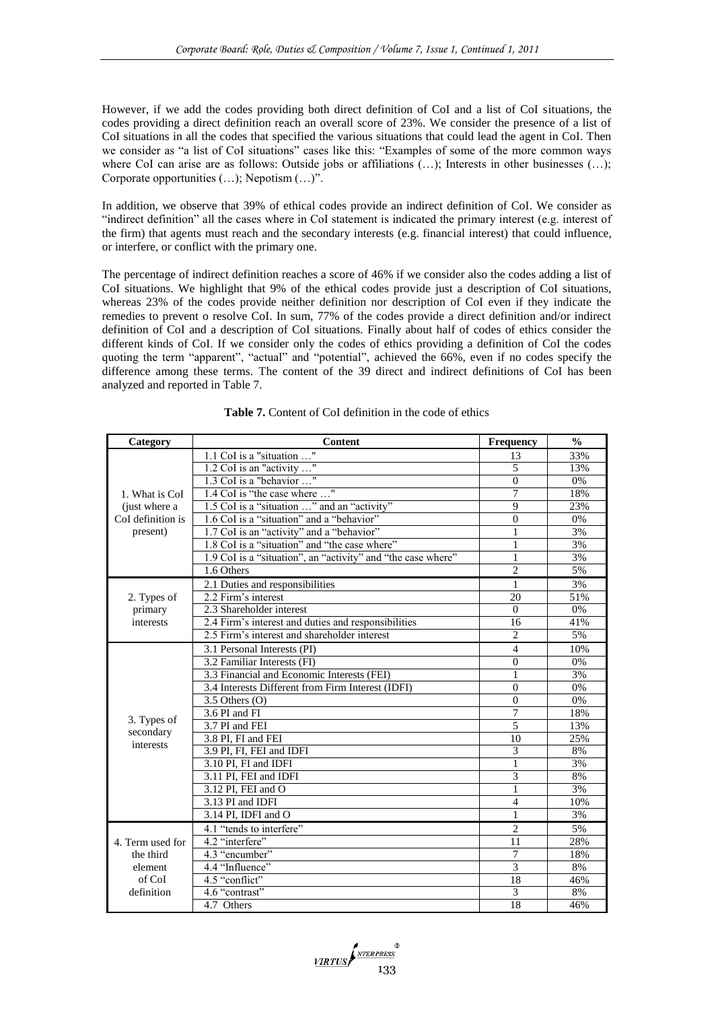However, if we add the codes providing both direct definition of CoI and a list of CoI situations, the codes providing a direct definition reach an overall score of 23%. We consider the presence of a list of CoI situations in all the codes that specified the various situations that could lead the agent in CoI. Then we consider as "a list of CoI situations" cases like this: "Examples of some of the more common ways where CoI can arise are as follows: Outside jobs or affiliations (...); Interests in other businesses (...); Corporate opportunities  $(...)$ ; Nepotism  $(...)$ .

In addition, we observe that 39% of ethical codes provide an indirect definition of CoI. We consider as ―indirect definition‖ all the cases where in CoI statement is indicated the primary interest (e.g. interest of the firm) that agents must reach and the secondary interests (e.g. financial interest) that could influence, or interfere, or conflict with the primary one.

The percentage of indirect definition reaches a score of 46% if we consider also the codes adding a list of CoI situations. We highlight that 9% of the ethical codes provide just a description of CoI situations, whereas 23% of the codes provide neither definition nor description of CoI even if they indicate the remedies to prevent o resolve CoI. In sum, 77% of the codes provide a direct definition and/or indirect definition of CoI and a description of CoI situations. Finally about half of codes of ethics consider the different kinds of CoI. If we consider only the codes of ethics providing a definition of CoI the codes quoting the term "apparent", "actual" and "potential", achieved the 66%, even if no codes specify the difference among these terms. The content of the 39 direct and indirect definitions of CoI has been analyzed and reported in Table 7.

| Category                 | Content                                                      | <b>Frequency</b>         | $\frac{0}{0}$ |
|--------------------------|--------------------------------------------------------------|--------------------------|---------------|
|                          | 1.1 CoI is a "situation "                                    | 13                       | 33%           |
|                          | 1.2 CoI is an "activity "                                    | 5                        | 13%           |
|                          | 1.3 CoI is a "behavior "                                     | $\theta$                 | 0%            |
| 1. What is CoI           | 1.4 CoI is "the case where "                                 | 7                        | 18%           |
| (just where a            | 1.5 CoI is a "situation " and an "activity"                  | $\mathbf Q$              | 23%           |
| CoI definition is        | 1.6 CoI is a "situation" and a "behavior"                    | $\Omega$                 | 0%            |
| present)                 | 1.7 CoI is an "activity" and a "behavior"                    | 1                        | 3%            |
|                          | 1.8 CoI is a "situation" and "the case where"                | 1                        | 3%            |
|                          | 1.9 CoI is a "situation", an "activity" and "the case where" | 1                        | 3%            |
|                          | 1.6 Others                                                   | $\overline{c}$           | 5%            |
|                          | 2.1 Duties and responsibilities                              | 1                        | 3%            |
| 2. Types of              | 2.2 Firm's interest                                          | 20                       | 51%           |
| primary                  | 2.3 Shareholder interest                                     | $\Omega$                 | 0%            |
| interests                | 2.4 Firm's interest and duties and responsibilities          | 16                       | 41%           |
|                          | 2.5 Firm's interest and shareholder interest                 | $\overline{c}$           | 5%            |
|                          | 3.1 Personal Interests (PI)                                  | $\overline{\mathcal{L}}$ | 10%           |
|                          | 3.2 Familiar Interests (FI)                                  | $\theta$                 | 0%            |
|                          | 3.3 Financial and Economic Interests (FEI)                   | $\mathbf{1}$             | 3%            |
|                          | 3.4 Interests Different from Firm Interest (IDFI)            | $\theta$                 | 0%            |
|                          | $3.5$ Others $(O)$                                           | $\theta$                 | 0%            |
|                          | 3.6 PI and FI                                                | 7                        | 18%           |
| 3. Types of<br>secondary | $\overline{3.7}$ PI and FEI                                  | 5                        | 13%           |
| interests                | 3.8 PI, FI and FEI                                           | 10                       | 25%           |
|                          | 3.9 PI, FI, FEI and IDFI                                     | 3                        | 8%            |
|                          | 3.10 PI. FI and IDFI                                         | 1                        | 3%            |
|                          | 3.11 PI, FEI and IDFI                                        | 3                        | 8%            |
|                          | 3.12 PI, FEI and O                                           | 1                        | 3%            |
|                          | 3.13 PI and IDFI                                             | $\overline{4}$           | 10%           |
|                          | 3.14 PI, IDFI and O                                          | 1                        | 3%            |
|                          | 4.1 "tends to interfere"                                     | $\overline{2}$           | 5%            |
| 4. Term used for         | 4.2 "interfere"                                              | 11                       | 28%           |
| the third                | 4.3 "encumber"                                               | 7                        | 18%           |
| element                  | 4.4 "Influence"                                              | 3                        | 8%            |
| of CoI                   | 4.5 "conflict"                                               | 18                       | 46%           |
| definition               | 4.6 "contrast"                                               | 3                        | 8%            |
|                          | 4.7 Others                                                   | 18                       | 46%           |

**Table 7.** Content of CoI definition in the code of ethics

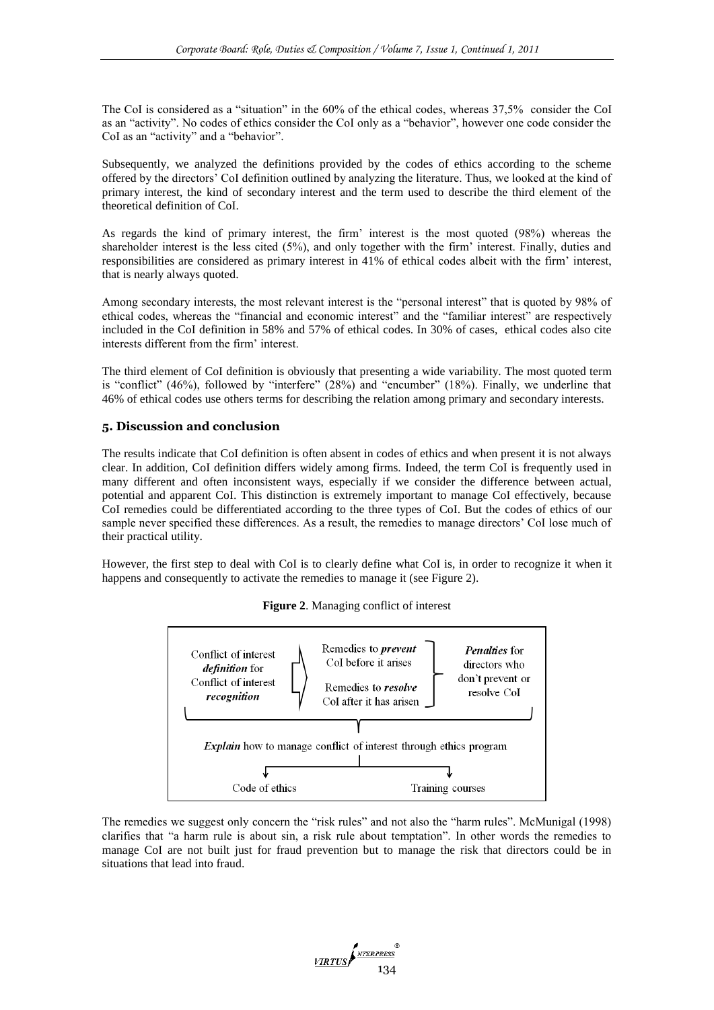The CoI is considered as a "situation" in the 60% of the ethical codes, whereas 37,5% consider the CoI as an "activity". No codes of ethics consider the CoI only as a "behavior", however one code consider the CoI as an "activity" and a "behavior".

Subsequently, we analyzed the definitions provided by the codes of ethics according to the scheme offered by the directors' CoI definition outlined by analyzing the literature. Thus, we looked at the kind of primary interest, the kind of secondary interest and the term used to describe the third element of the theoretical definition of CoI.

As regards the kind of primary interest, the firm' interest is the most quoted (98%) whereas the shareholder interest is the less cited (5%), and only together with the firm' interest. Finally, duties and responsibilities are considered as primary interest in 41% of ethical codes albeit with the firm' interest, that is nearly always quoted.

Among secondary interests, the most relevant interest is the "personal interest" that is quoted by 98% of ethical codes, whereas the "financial and economic interest" and the "familiar interest" are respectively included in the CoI definition in 58% and 57% of ethical codes. In 30% of cases, ethical codes also cite interests different from the firm' interest.

The third element of CoI definition is obviously that presenting a wide variability. The most quoted term is "conflict"  $(46%)$ , followed by "interfere"  $(28%)$  and "encumber"  $(18%)$ . Finally, we underline that 46% of ethical codes use others terms for describing the relation among primary and secondary interests.

## **5. Discussion and conclusion**

The results indicate that CoI definition is often absent in codes of ethics and when present it is not always clear. In addition, CoI definition differs widely among firms. Indeed, the term CoI is frequently used in many different and often inconsistent ways, especially if we consider the difference between actual, potential and apparent CoI. This distinction is extremely important to manage CoI effectively, because CoI remedies could be differentiated according to the three types of CoI. But the codes of ethics of our sample never specified these differences. As a result, the remedies to manage directors' CoI lose much of their practical utility.

However, the first step to deal with CoI is to clearly define what CoI is, in order to recognize it when it happens and consequently to activate the remedies to manage it (see Figure 2).





The remedies we suggest only concern the "risk rules" and not also the "harm rules". McMunigal (1998) clarifies that "a harm rule is about sin, a risk rule about temptation". In other words the remedies to manage CoI are not built just for fraud prevention but to manage the risk that directors could be in situations that lead into fraud.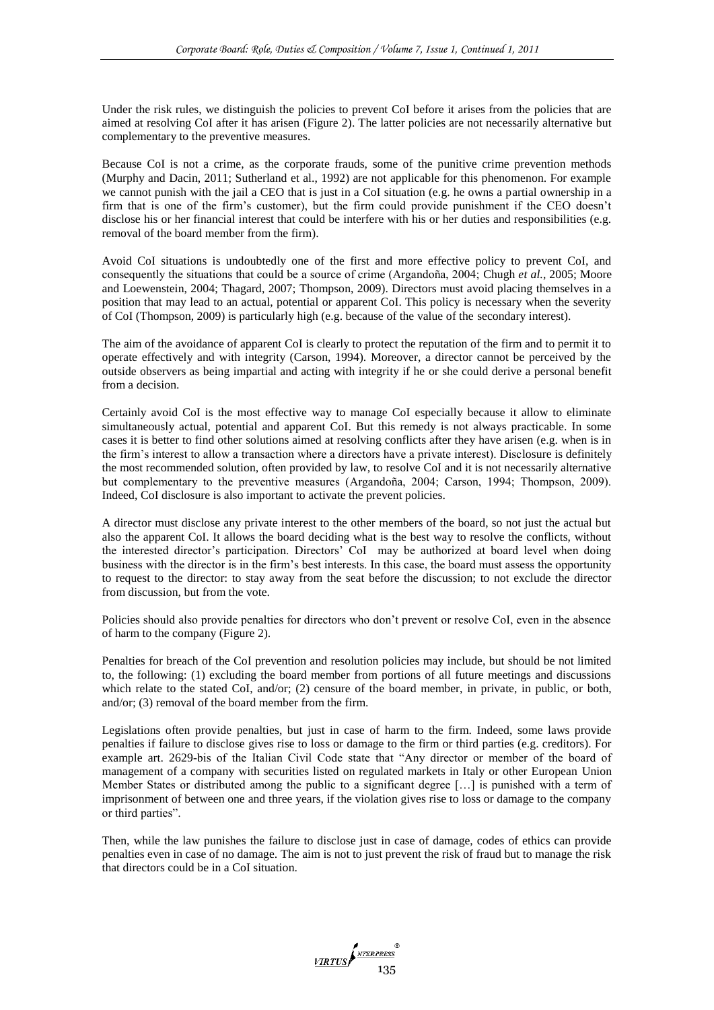Under the risk rules, we distinguish the policies to prevent CoI before it arises from the policies that are aimed at resolving CoI after it has arisen (Figure 2). The latter policies are not necessarily alternative but complementary to the preventive measures.

Because CoI is not a crime, as the corporate frauds, some of the punitive crime prevention methods (Murphy and Dacin, 2011; Sutherland et al., 1992) are not applicable for this phenomenon. For example we cannot punish with the jail a CEO that is just in a CoI situation (e.g. he owns a partial ownership in a firm that is one of the firm's customer), but the firm could provide punishment if the CEO doesn't disclose his or her financial interest that could be interfere with his or her duties and responsibilities (e.g. removal of the board member from the firm).

Avoid CoI situations is undoubtedly one of the first and more effective policy to prevent CoI, and consequently the situations that could be a source of crime (Argandoña, 2004; Chugh *et al.*, 2005; Moore and Loewenstein, 2004; Thagard, 2007; Thompson, 2009). Directors must avoid placing themselves in a position that may lead to an actual, potential or apparent CoI. This policy is necessary when the severity of CoI (Thompson, 2009) is particularly high (e.g. because of the value of the secondary interest).

The aim of the avoidance of apparent CoI is clearly to protect the reputation of the firm and to permit it to operate effectively and with integrity (Carson, 1994). Moreover, a director cannot be perceived by the outside observers as being impartial and acting with integrity if he or she could derive a personal benefit from a decision.

Certainly avoid CoI is the most effective way to manage CoI especially because it allow to eliminate simultaneously actual, potential and apparent CoI. But this remedy is not always practicable. In some cases it is better to find other solutions aimed at resolving conflicts after they have arisen (e.g. when is in the firm's interest to allow a transaction where a directors have a private interest). Disclosure is definitely the most recommended solution, often provided by law, to resolve CoI and it is not necessarily alternative but complementary to the preventive measures (Argandoña, 2004; Carson, 1994; Thompson, 2009). Indeed, CoI disclosure is also important to activate the prevent policies.

A director must disclose any private interest to the other members of the board, so not just the actual but also the apparent CoI. It allows the board deciding what is the best way to resolve the conflicts, without the interested director's participation. Directors' CoI may be authorized at board level when doing business with the director is in the firm's best interests. In this case, the board must assess the opportunity to request to the director: to stay away from the seat before the discussion; to not exclude the director from discussion, but from the vote.

Policies should also provide penalties for directors who don't prevent or resolve CoI, even in the absence of harm to the company (Figure 2).

Penalties for breach of the CoI prevention and resolution policies may include, but should be not limited to, the following: (1) excluding the board member from portions of all future meetings and discussions which relate to the stated CoI, and/or; (2) censure of the board member, in private, in public, or both, and/or; (3) removal of the board member from the firm.

Legislations often provide penalties, but just in case of harm to the firm. Indeed, some laws provide penalties if failure to disclose gives rise to loss or damage to the firm or third parties (e.g. creditors). For example art. 2629-bis of the Italian Civil Code state that "Any director or member of the board of management of a company with securities listed on regulated markets in Italy or other European Union Member States or distributed among the public to a significant degree […] is punished with a term of imprisonment of between one and three years, if the violation gives rise to loss or damage to the company or third parties".

Then, while the law punishes the failure to disclose just in case of damage, codes of ethics can provide penalties even in case of no damage. The aim is not to just prevent the risk of fraud but to manage the risk that directors could be in a CoI situation.

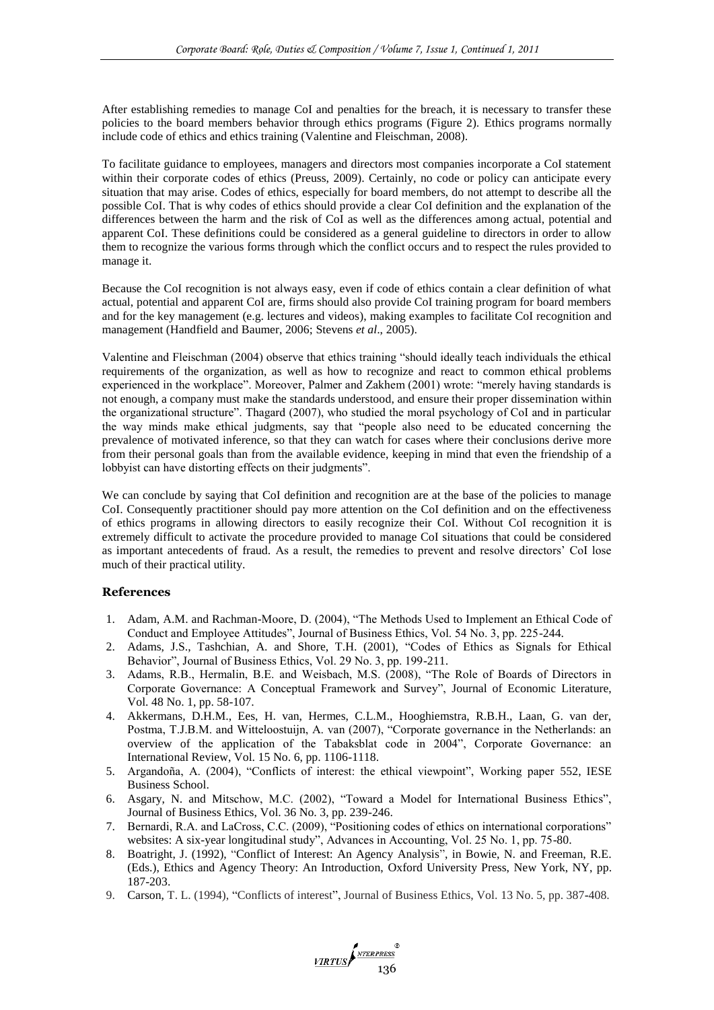After establishing remedies to manage CoI and penalties for the breach, it is necessary to transfer these policies to the board members behavior through ethics programs (Figure 2). Ethics programs normally include code of ethics and ethics training (Valentine and Fleischman, 2008).

To facilitate guidance to employees, managers and directors most companies incorporate a CoI statement within their corporate codes of ethics (Preuss, 2009). Certainly, no code or policy can anticipate every situation that may arise. Codes of ethics, especially for board members, do not attempt to describe all the possible CoI. That is why codes of ethics should provide a clear CoI definition and the explanation of the differences between the harm and the risk of CoI as well as the differences among actual, potential and apparent CoI. These definitions could be considered as a general guideline to directors in order to allow them to recognize the various forms through which the conflict occurs and to respect the rules provided to manage it.

Because the CoI recognition is not always easy, even if code of ethics contain a clear definition of what actual, potential and apparent CoI are, firms should also provide CoI training program for board members and for the key management (e.g. lectures and videos), making examples to facilitate CoI recognition and management (Handfield and Baumer, 2006; Stevens *et al*., 2005).

Valentine and Fleischman (2004) observe that ethics training "should ideally teach individuals the ethical requirements of the organization, as well as how to recognize and react to common ethical problems experienced in the workplace". Moreover, Palmer and Zakhem (2001) wrote: "merely having standards is not enough, a company must make the standards understood, and ensure their proper dissemination within the organizational structure". Thagard (2007), who studied the moral psychology of CoI and in particular the way minds make ethical judgments, say that "people also need to be educated concerning the prevalence of motivated inference, so that they can watch for cases where their conclusions derive more from their personal goals than from the available evidence, keeping in mind that even the friendship of a lobbyist can have distorting effects on their judgments".

We can conclude by saying that CoI definition and recognition are at the base of the policies to manage CoI. Consequently practitioner should pay more attention on the CoI definition and on the effectiveness of ethics programs in allowing directors to easily recognize their CoI. Without CoI recognition it is extremely difficult to activate the procedure provided to manage CoI situations that could be considered as important antecedents of fraud. As a result, the remedies to prevent and resolve directors' CoI lose much of their practical utility.

## **References**

- 1. Adam, A.M. and Rachman-Moore, D. (2004), "The Methods Used to Implement an Ethical Code of Conduct and Employee Attitudes", Journal of Business Ethics, Vol. 54 No. 3, pp. 225-244.
- 2. Adams, J.S., Tashchian, A. and Shore, T.H. (2001), "Codes of Ethics as Signals for Ethical Behavior", Journal of Business Ethics, Vol. 29 No. 3, pp. 199-211.
- 3. Adams, R.B., Hermalin, B.E. and Weisbach, M.S. (2008), "The Role of Boards of Directors in Corporate Governance: A Conceptual Framework and Survey", Journal of Economic Literature, Vol. 48 No. 1, pp. 58-107.
- 4. Akkermans, D.H.M., Ees, H. van, Hermes, C.L.M., Hooghiemstra, R.B.H., Laan, G. van der, Postma, T.J.B.M. and Witteloostuijn, A. van (2007), "Corporate governance in the Netherlands: an overview of the application of the Tabaksblat code in 2004‖, Corporate Governance: an International Review, Vol. 15 No. 6, pp. 1106-1118.
- 5. Argandoña, A. (2004), "Conflicts of interest: the ethical viewpoint", Working paper 552, IESE Business School.
- 6. Asgary, N. and Mitschow, M.C. (2002), "Toward a Model for International Business Ethics", Journal of Business Ethics, Vol. 36 No. 3, pp. 239-246.
- 7. Bernardi, R.A. and LaCross, C.C. (2009), "Positioning codes of ethics on international corporations" websites: A six-year longitudinal study", Advances in Accounting, Vol. 25 No. 1, pp. 75-80.
- 8. Boatright, J. (1992), "Conflict of Interest: An Agency Analysis", in Bowie, N. and Freeman, R.E. (Eds.), Ethics and Agency Theory: An Introduction, Oxford University Press, New York, NY, pp. 187-203.
- 9. Carson, T. L. (1994), "Conflicts of interest", Journal of Business Ethics, Vol. 13 No. 5, pp. 387-408.

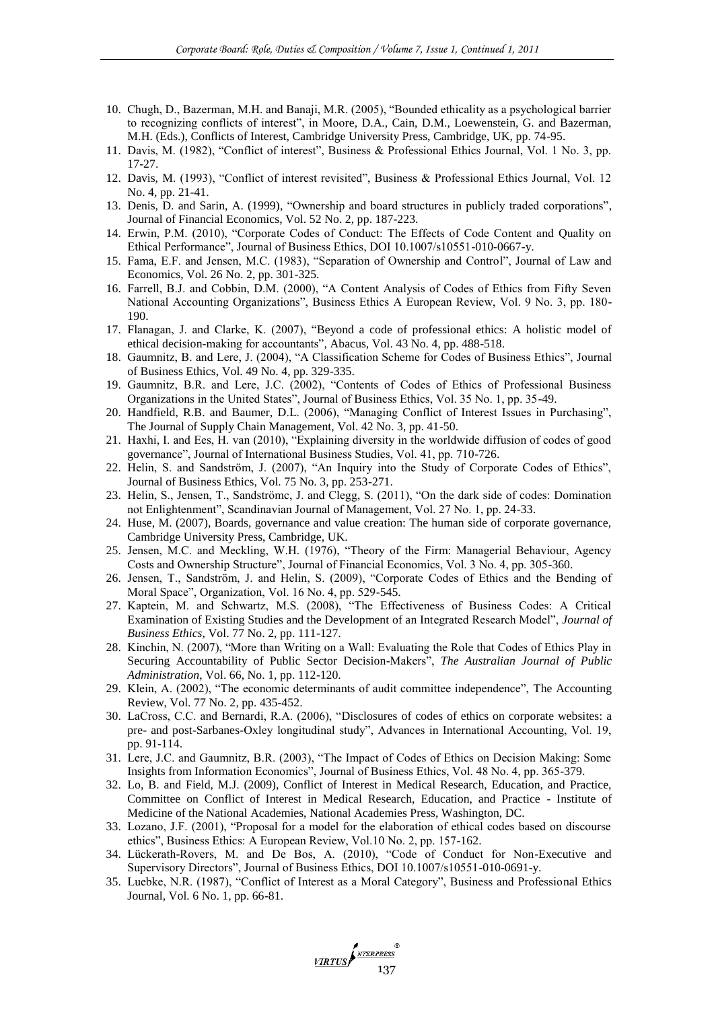- 10. Chugh, D., Bazerman, M.H. and Banaji, M.R. (2005), "Bounded ethicality as a psychological barrier to recognizing conflicts of interest", in Moore, D.A., Cain, D.M., Loewenstein, G. and Bazerman, M.H. (Eds.), Conflicts of Interest, Cambridge University Press, Cambridge, UK, pp. 74-95.
- 11. Davis, M. (1982), "Conflict of interest", Business & Professional Ethics Journal, Vol. 1 No. 3, pp. 17-27.
- 12. Davis, M. (1993), "Conflict of interest revisited", Business & Professional Ethics Journal, Vol. 12 No. 4, pp. 21-41.
- 13. Denis, D. and Sarin, A. (1999), "Ownership and board structures in publicly traded corporations", Journal of Financial Economics, Vol. 52 No. 2, pp. 187-223.
- 14. Erwin, P.M. (2010), "Corporate Codes of Conduct: The Effects of Code Content and Quality on Ethical Performance", Journal of Business Ethics, DOI 10.1007/s10551-010-0667-y.
- 15. Fama, E.F. and Jensen, M.C. (1983), "Separation of Ownership and Control", Journal of Law and Economics, Vol. 26 No. 2, pp. 301-325.
- 16. Farrell, B.J. and Cobbin, D.M. (2000), "A Content Analysis of Codes of Ethics from Fifty Seven National Accounting Organizations", Business Ethics A European Review, Vol. 9 No. 3, pp. 180-190.
- 17. Flanagan, J. and Clarke, K. (2007), "Beyond a code of professional ethics: A holistic model of ethical decision-making for accountants", Abacus, Vol. 43 No. 4, pp. 488-518.
- 18. Gaumnitz, B. and Lere, J. (2004), "A Classification Scheme for Codes of Business Ethics", Journal of Business Ethics, Vol. 49 No. 4, pp. 329-335.
- 19. Gaumnitz, B.R. and Lere, J.C. (2002), "Contents of Codes of Ethics of Professional Business Organizations in the United States", Journal of Business Ethics, Vol. 35 No. 1, pp. 35-49.
- 20. Handfield, R.B. and Baumer, D.L. (2006), "Managing Conflict of Interest Issues in Purchasing", The Journal of Supply Chain Management, Vol. 42 No. 3, pp. 41-50.
- 21. Haxhi, I. and Ees, H. van (2010), "Explaining diversity in the worldwide diffusion of codes of good governance", Journal of International Business Studies, Vol. 41, pp. 710-726.
- 22. Helin, S. and Sandström, J. (2007), "An Inquiry into the Study of Corporate Codes of Ethics", Journal of Business Ethics, Vol. 75 No. 3, pp. 253-271.
- 23. Helin, S., Jensen, T., Sandströmc, J. and Clegg, S. (2011), "On the dark side of codes: Domination not Enlightenment", Scandinavian Journal of Management, Vol. 27 No. 1, pp. 24-33.
- 24. Huse, M. (2007), Boards, governance and value creation: The human side of corporate governance, Cambridge University Press, Cambridge, UK.
- 25. Jensen, M.C. and Meckling, W.H. (1976), "Theory of the Firm: Managerial Behaviour, Agency Costs and Ownership Structure", Journal of Financial Economics, Vol. 3 No. 4, pp. 305-360.
- 26. Jensen, T., Sandström, J. and Helin, S. (2009), "Corporate Codes of Ethics and the Bending of Moral Space", Organization, Vol. 16 No. 4, pp. 529-545.
- 27. Kaptein, M. and Schwartz, M.S. (2008), "The Effectiveness of Business Codes: A Critical Examination of Existing Studies and the Development of an Integrated Research Model", *Journal of Business Ethics*, Vol. 77 No. 2, pp. 111-127.
- 28. Kinchin, N. (2007), "More than Writing on a Wall: Evaluating the Role that Codes of Ethics Play in Securing Accountability of Public Sector Decision-Makers", *The Australian Journal of Public Administration*, Vol. 66, No. 1, pp. 112-120.
- 29. Klein, A. (2002), "The economic determinants of audit committee independence", The Accounting Review, Vol. 77 No. 2, pp. 435-452.
- 30. LaCross, C.C. and Bernardi, R.A. (2006), "Disclosures of codes of ethics on corporate websites: a pre- and post-Sarbanes-Oxley longitudinal study‖, Advances in International Accounting, Vol. 19, pp. 91-114.
- 31. Lere, J.C. and Gaumnitz, B.R. (2003), "The Impact of Codes of Ethics on Decision Making: Some Insights from Information Economics", Journal of Business Ethics, Vol. 48 No. 4, pp. 365-379.
- 32. Lo, B. and Field, M.J. (2009), Conflict of Interest in Medical Research, Education, and Practice, Committee on Conflict of Interest in Medical Research, Education, and Practice - Institute of Medicine of the National Academies, National Academies Press, Washington, DC.
- 33. Lozano, J.F. (2001), "Proposal for a model for the elaboration of ethical codes based on discourse ethics", Business Ethics: A European Review, Vol.10 No. 2, pp. 157-162.
- 34. Lückerath-Rovers, M. and De Bos, A. (2010), "Code of Conduct for Non-Executive and Supervisory Directors", Journal of Business Ethics, DOI 10.1007/s10551-010-0691-y.
- 35. Luebke, N.R. (1987), "Conflict of Interest as a Moral Category", Business and Professional Ethics Journal, Vol. 6 No. 1, pp. 66-81.

VIRTUS ANTERPRESS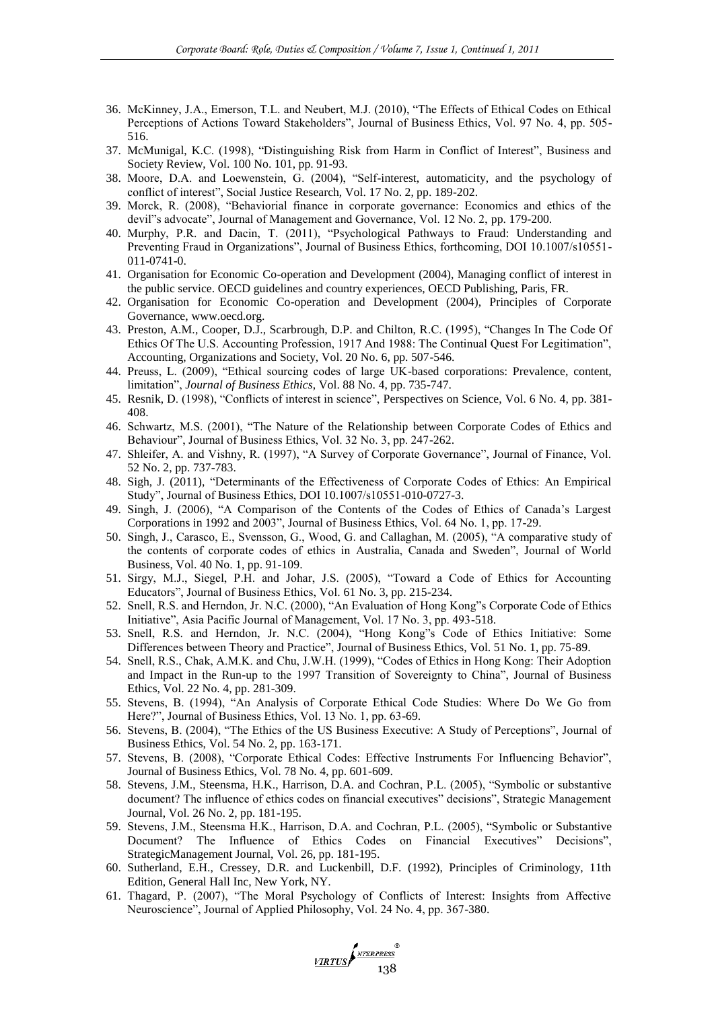- 36. McKinney, J.A., Emerson, T.L. and Neubert, M.J. (2010), "The Effects of Ethical Codes on Ethical Perceptions of Actions Toward Stakeholders", Journal of Business Ethics, Vol. 97 No. 4, pp. 505-516.
- 37. McMunigal, K.C. (1998), "Distinguishing Risk from Harm in Conflict of Interest", Business and Society Review, Vol. 100 No. 101, pp. 91-93.
- 38. Moore, D.A. and Loewenstein, G. (2004), "Self-interest, automaticity, and the psychology of conflict of interest", Social Justice Research, Vol. 17 No. 2, pp. 189-202.
- 39. Morck, R. (2008), "Behaviorial finance in corporate governance: Economics and ethics of the devil"s advocate", Journal of Management and Governance, Vol. 12 No. 2, pp. 179-200.
- 40. Murphy, P.R. and Dacin, T. (2011), "Psychological Pathways to Fraud: Understanding and Preventing Fraud in Organizations", Journal of Business Ethics, forthcoming, DOI 10.1007/s10551-011-0741-0.
- 41. Organisation for Economic Co-operation and Development (2004), Managing conflict of interest in the public service. OECD guidelines and country experiences, OECD Publishing, Paris, FR.
- 42. Organisation for Economic Co-operation and Development (2004), Principles of Corporate Governance, www.oecd.org.
- 43. Preston, A.M., Cooper, D.J., Scarbrough, D.P. and Chilton, R.C. (1995), "Changes In The Code Of Ethics Of The U.S. Accounting Profession, 1917 And 1988: The Continual Quest For Legitimation", Accounting, Organizations and Society, Vol. 20 No. 6, pp. 507-546.
- 44. Preuss, L. (2009), "Ethical sourcing codes of large UK-based corporations: Prevalence, content, limitation‖, *Journal of Business Ethics*, Vol. 88 No. 4, pp. 735-747.
- 45. Resnik, D. (1998), "Conflicts of interest in science", Perspectives on Science, Vol. 6 No. 4, pp. 381-408.
- 46. Schwartz, M.S. (2001), "The Nature of the Relationship between Corporate Codes of Ethics and Behaviour", Journal of Business Ethics, Vol. 32 No. 3, pp. 247-262.
- 47. Shleifer, A. and Vishny, R. (1997), "A Survey of Corporate Governance", Journal of Finance, Vol. 52 No. 2, pp. 737-783.
- 48. Sigh, J. (2011), "Determinants of the Effectiveness of Corporate Codes of Ethics: An Empirical Study", Journal of Business Ethics, DOI 10.1007/s10551-010-0727-3.
- 49. Singh, J. (2006), "A Comparison of the Contents of the Codes of Ethics of Canada's Largest Corporations in 1992 and 2003", Journal of Business Ethics, Vol. 64 No. 1, pp. 17-29.
- 50. Singh, J., Carasco, E., Svensson, G., Wood, G. and Callaghan, M. (2005), "A comparative study of the contents of corporate codes of ethics in Australia, Canada and Sweden", Journal of World Business, Vol. 40 No. 1, pp. 91-109.
- 51. Sirgy, M.J., Siegel, P.H. and Johar, J.S. (2005), "Toward a Code of Ethics for Accounting Educators", Journal of Business Ethics, Vol. 61 No. 3, pp. 215-234.
- 52. Snell, R.S. and Herndon, Jr. N.C. (2000), "An Evaluation of Hong Kong"s Corporate Code of Ethics Initiative", Asia Pacific Journal of Management, Vol. 17 No. 3, pp. 493-518.
- 53. Snell, R.S. and Herndon, Jr. N.C. (2004), "Hong Kong"s Code of Ethics Initiative: Some Differences between Theory and Practice", Journal of Business Ethics, Vol. 51 No. 1, pp. 75-89.
- 54. Snell, R.S., Chak, A.M.K. and Chu, J.W.H. (1999), "Codes of Ethics in Hong Kong: Their Adoption and Impact in the Run-up to the 1997 Transition of Sovereignty to China", Journal of Business Ethics, Vol. 22 No. 4, pp. 281-309.
- 55. Stevens, B. (1994), "An Analysis of Corporate Ethical Code Studies: Where Do We Go from Here?", Journal of Business Ethics, Vol. 13 No. 1, pp. 63-69.
- 56. Stevens, B. (2004), "The Ethics of the US Business Executive: A Study of Perceptions", Journal of Business Ethics, Vol. 54 No. 2, pp. 163-171.
- 57. Stevens, B. (2008), "Corporate Ethical Codes: Effective Instruments For Influencing Behavior", Journal of Business Ethics, Vol. 78 No. 4, pp. 601-609.
- 58. Stevens, J.M., Steensma, H.K., Harrison, D.A. and Cochran, P.L. (2005), "Symbolic or substantive document? The influence of ethics codes on financial executives" decisions", Strategic Management Journal, Vol. 26 No. 2, pp. 181-195.
- 59. Stevens, J.M., Steensma H.K., Harrison, D.A. and Cochran, P.L. (2005), "Symbolic or Substantive Document? The Influence of Ethics Codes on Financial Executives" Decisions", StrategicManagement Journal, Vol. 26, pp. 181-195.
- 60. Sutherland, E.H., Cressey, D.R. and Luckenbill, D.F. (1992), Principles of Criminology, 11th Edition, General Hall Inc, New York, NY.
- 61. Thagard, P. (2007), "The Moral Psychology of Conflicts of Interest: Insights from Affective Neuroscience", Journal of Applied Philosophy, Vol. 24 No. 4, pp. 367-380.